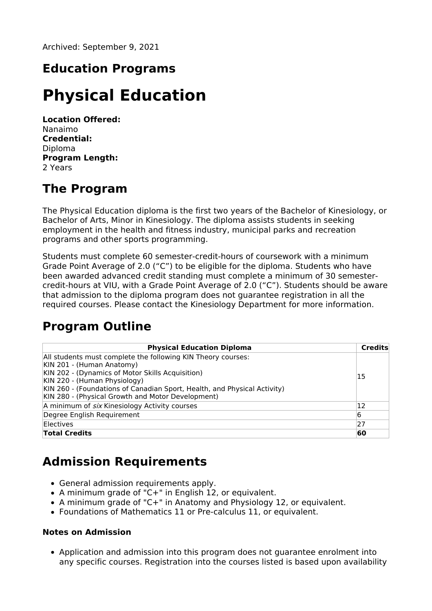Archived: September 9, 2021

## **Education Programs**

# **Physical Education**

**Location Offered:** Nanaimo **Credential:** Diploma **Program Length:** 2 Years

#### **The Program**

The Physical Education diploma is the first two years of the Bachelor of Kinesiology, or Bachelor of Arts, Minor in Kinesiology. The diploma assists students in seeking employment in the health and fitness industry, municipal parks and recreation programs and other sports programming.

Students must complete 60 semester-credit-hours of coursework with a minimum Grade Point Average of 2.0 ("C") to be eligible for the diploma. Students who have been awarded advanced credit standing must complete a minimum of 30 semestercredit-hours at VIU, with a Grade Point Average of 2.0 ("C"). Students should be aware that admission to the diploma program does not guarantee registration in all the required courses. Please contact the Kinesiology Department for more information.

#### **Program Outline**

| <b>Physical Education Diploma</b>                                                                                             | Credits |
|-------------------------------------------------------------------------------------------------------------------------------|---------|
| All students must complete the following KIN Theory courses:                                                                  |         |
| KIN 201 - (Human Anatomy)<br>KIN 202 - (Dynamics of Motor Skills Acquisition)<br>KIN 220 - (Human Physiology)                 | 15      |
| KIN 260 - (Foundations of Canadian Sport, Health, and Physical Activity)<br>KIN 280 - (Physical Growth and Motor Development) |         |
| A minimum of <i>six</i> Kinesiology Activity courses                                                                          | 12      |
| Degree English Requirement                                                                                                    | 16      |
| Electives                                                                                                                     | 27      |
| <b>Total Credits</b>                                                                                                          | 60      |

### **Admission Requirements**

- General admission requirements apply.
- A minimum grade of "C+" in English 12, or equivalent.
- A minimum grade of "C+" in Anatomy and Physiology 12, or equivalent.
- Foundations of Mathematics 11 or Pre-calculus 11, or equivalent.

#### **Notes on Admission**

Application and admission into this program does not guarantee enrolment into any specific courses. Registration into the courses listed is based upon availability